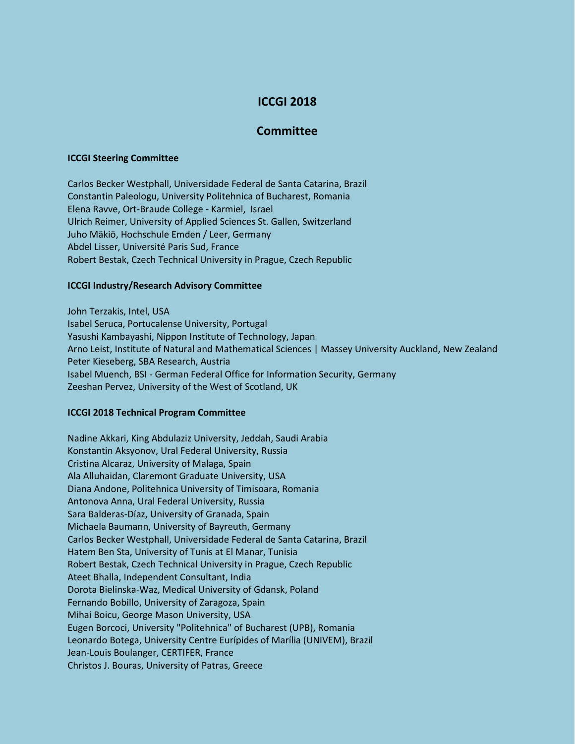# **ICCGI 2018**

## **Committee**

#### **ICCGI Steering Committee**

Carlos Becker Westphall, Universidade Federal de Santa Catarina, Brazil Constantin Paleologu, University Politehnica of Bucharest, Romania Elena Ravve, Ort-Braude College - Karmiel, Israel Ulrich Reimer, University of Applied Sciences St. Gallen, Switzerland Juho Mäkiö, Hochschule Emden / Leer, Germany Abdel Lisser, Université Paris Sud, France Robert Bestak, Czech Technical University in Prague, Czech Republic

### **ICCGI Industry/Research Advisory Committee**

John Terzakis, Intel, USA Isabel Seruca, Portucalense University, Portugal Yasushi Kambayashi, Nippon Institute of Technology, Japan Arno Leist, Institute of Natural and Mathematical Sciences | Massey University Auckland, New Zealand Peter Kieseberg, SBA Research, Austria Isabel Muench, BSI - German Federal Office for Information Security, Germany Zeeshan Pervez, University of the West of Scotland, UK

#### **ICCGI 2018 Technical Program Committee**

Nadine Akkari, King Abdulaziz University, Jeddah, Saudi Arabia Konstantin Aksyonov, Ural Federal University, Russia Cristina Alcaraz, University of Malaga, Spain Ala Alluhaidan, Claremont Graduate University, USA Diana Andone, Politehnica University of Timisoara, Romania Antonova Anna, Ural Federal University, Russia Sara Balderas-Díaz, University of Granada, Spain Michaela Baumann, University of Bayreuth, Germany Carlos Becker Westphall, Universidade Federal de Santa Catarina, Brazil Hatem Ben Sta, University of Tunis at El Manar, Tunisia Robert Bestak, Czech Technical University in Prague, Czech Republic Ateet Bhalla, Independent Consultant, India Dorota Bielinska-Waz, Medical University of Gdansk, Poland Fernando Bobillo, University of Zaragoza, Spain Mihai Boicu, George Mason University, USA Eugen Borcoci, University "Politehnica" of Bucharest (UPB), Romania Leonardo Botega, University Centre Eurípides of Marília (UNIVEM), Brazil Jean-Louis Boulanger, CERTIFER, France Christos J. Bouras, University of Patras, Greece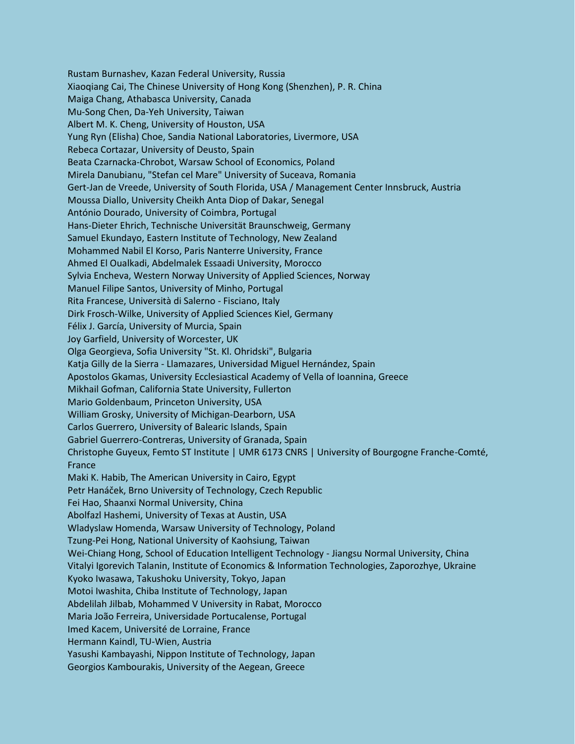Rustam Burnashev, Kazan Federal University, Russia Xiaoqiang Cai, The Chinese University of Hong Kong (Shenzhen), P. R. China Maiga Chang, Athabasca University, Canada Mu-Song Chen, Da-Yeh University, Taiwan Albert M. K. Cheng, University of Houston, USA Yung Ryn (Elisha) Choe, Sandia National Laboratories, Livermore, USA Rebeca Cortazar, University of Deusto, Spain Beata Czarnacka-Chrobot, Warsaw School of Economics, Poland Mirela Danubianu, "Stefan cel Mare" University of Suceava, Romania Gert-Jan de Vreede, University of South Florida, USA / Management Center Innsbruck, Austria Moussa Diallo, University Cheikh Anta Diop of Dakar, Senegal António Dourado, University of Coimbra, Portugal Hans-Dieter Ehrich, Technische Universität Braunschweig, Germany Samuel Ekundayo, Eastern Institute of Technology, New Zealand Mohammed Nabil El Korso, Paris Nanterre University, France Ahmed El Oualkadi, Abdelmalek Essaadi University, Morocco Sylvia Encheva, Western Norway University of Applied Sciences, Norway Manuel Filipe Santos, University of Minho, Portugal Rita Francese, Università di Salerno - Fisciano, Italy Dirk Frosch-Wilke, University of Applied Sciences Kiel, Germany Félix J. García, University of Murcia, Spain Joy Garfield, University of Worcester, UK Olga Georgieva, Sofia University "St. Kl. Ohridski", Bulgaria Katja Gilly de la Sierra - Llamazares, Universidad Miguel Hernández, Spain Apostolos Gkamas, University Ecclesiastical Academy of Vella of Ioannina, Greece Mikhail Gofman, California State University, Fullerton Mario Goldenbaum, Princeton University, USA William Grosky, University of Michigan-Dearborn, USA Carlos Guerrero, University of Balearic Islands, Spain Gabriel Guerrero-Contreras, University of Granada, Spain Christophe Guyeux, Femto ST Institute | UMR 6173 CNRS | University of Bourgogne Franche-Comté, France Maki K. Habib, The American University in Cairo, Egypt Petr Hanáček, Brno University of Technology, Czech Republic Fei Hao, Shaanxi Normal University, China Abolfazl Hashemi, University of Texas at Austin, USA Wladyslaw Homenda, Warsaw University of Technology, Poland Tzung-Pei Hong, National University of Kaohsiung, Taiwan Wei-Chiang Hong, School of Education Intelligent Technology - Jiangsu Normal University, China Vitalyi Igorevich Talanin, Institute of Economics & Information Technologies, Zaporozhye, Ukraine Kyoko Iwasawa, Takushoku University, Tokyo, Japan Motoi Iwashita, Chiba Institute of Technology, Japan Abdelilah Jilbab, Mohammed V University in Rabat, Morocco Maria João Ferreira, Universidade Portucalense, Portugal Imed Kacem, Université de Lorraine, France Hermann Kaindl, TU-Wien, Austria Yasushi Kambayashi, Nippon Institute of Technology, Japan Georgios Kambourakis, University of the Aegean, Greece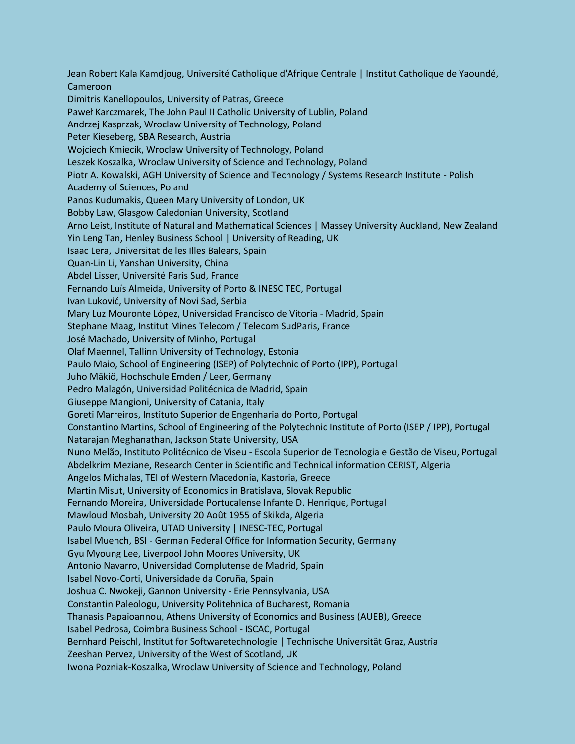Jean Robert Kala Kamdjoug, Université Catholique d'Afrique Centrale | Institut Catholique de Yaoundé, Cameroon Dimitris Kanellopoulos, University of Patras, Greece Paweł Karczmarek, The John Paul II Catholic University of Lublin, Poland Andrzej Kasprzak, Wroclaw University of Technology, Poland Peter Kieseberg, SBA Research, Austria Wojciech Kmiecik, Wroclaw University of Technology, Poland Leszek Koszalka, Wroclaw University of Science and Technology, Poland Piotr A. Kowalski, AGH University of Science and Technology / Systems Research Institute - Polish Academy of Sciences, Poland Panos Kudumakis, Queen Mary University of London, UK Bobby Law, Glasgow Caledonian University, Scotland Arno Leist, Institute of Natural and Mathematical Sciences | Massey University Auckland, New Zealand Yin Leng Tan, Henley Business School | University of Reading, UK Isaac Lera, Universitat de les Illes Balears, Spain Quan-Lin Li, Yanshan University, China Abdel Lisser, Université Paris Sud, France Fernando Luís Almeida, University of Porto & INESC TEC, Portugal Ivan Luković, University of Novi Sad, Serbia Mary Luz Mouronte López, Universidad Francisco de Vitoria - Madrid, Spain Stephane Maag, Institut Mines Telecom / Telecom SudParis, France José Machado, University of Minho, Portugal Olaf Maennel, Tallinn University of Technology, Estonia Paulo Maio, School of Engineering (ISEP) of Polytechnic of Porto (IPP), Portugal Juho Mäkiö, Hochschule Emden / Leer, Germany Pedro Malagón, Universidad Politécnica de Madrid, Spain Giuseppe Mangioni, University of Catania, Italy Goreti Marreiros, Instituto Superior de Engenharia do Porto, Portugal Constantino Martins, School of Engineering of the Polytechnic Institute of Porto (ISEP / IPP), Portugal Natarajan Meghanathan, Jackson State University, USA Nuno Melão, Instituto Politécnico de Viseu - Escola Superior de Tecnologia e Gestão de Viseu, Portugal Abdelkrim Meziane, Research Center in Scientific and Technical information CERIST, Algeria Angelos Michalas, TEI of Western Macedonia, Kastoria, Greece Martin Misut, University of Economics in Bratislava, Slovak Republic Fernando Moreira, Universidade Portucalense Infante D. Henrique, Portugal Mawloud Mosbah, University 20 Août 1955 of Skikda, Algeria Paulo Moura Oliveira, UTAD University | INESC-TEC, Portugal Isabel Muench, BSI - German Federal Office for Information Security, Germany Gyu Myoung Lee, Liverpool John Moores University, UK Antonio Navarro, Universidad Complutense de Madrid, Spain Isabel Novo-Corti, Universidade da Coruña, Spain Joshua C. Nwokeji, Gannon University - Erie Pennsylvania, USA Constantin Paleologu, University Politehnica of Bucharest, Romania Thanasis Papaioannou, Athens University of Economics and Business (AUEB), Greece Isabel Pedrosa, Coimbra Business School - ISCAC, Portugal Bernhard Peischl, Institut for Softwaretechnologie | Technische Universität Graz, Austria Zeeshan Pervez, University of the West of Scotland, UK Iwona Pozniak-Koszalka, Wroclaw University of Science and Technology, Poland